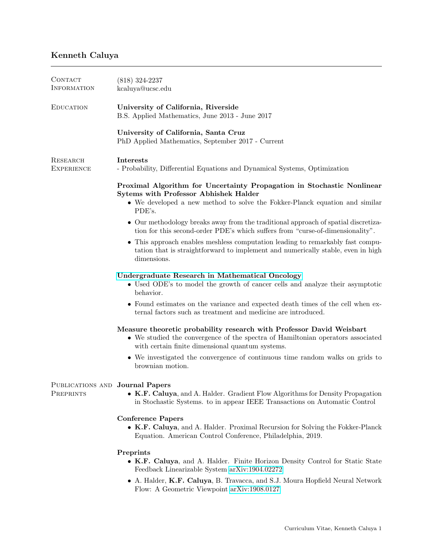## Kenneth Caluya

| <b>CONTACT</b><br>INFORMATION                | $(818)$ 324-2237<br>kcaluya@ucsc.edu                                                                                                                                                                        |
|----------------------------------------------|-------------------------------------------------------------------------------------------------------------------------------------------------------------------------------------------------------------|
| <b>EDUCATION</b>                             | University of California, Riverside<br>B.S. Applied Mathematics, June 2013 - June 2017                                                                                                                      |
|                                              | University of California, Santa Cruz<br>PhD Applied Mathematics, September 2017 - Current                                                                                                                   |
| RESEARCH<br><b>EXPERIENCE</b>                | <b>Interests</b><br>- Probability, Differential Equations and Dynamical Systems, Optimization                                                                                                               |
|                                              | Proximal Algorithm for Uncertainty Propagation in Stochastic Nonlinear<br>Sytems with Professor Abhishek Halder<br>• We developed a new method to solve the Fokker-Planck equation and similar<br>PDE's.    |
|                                              | • Our methodology breaks away from the traditional approach of spatial discretiza-<br>tion for this second-order PDE's which suffers from "curse-of-dimensionality".                                        |
|                                              | • This approach enables meshless computation leading to remarkably fast compu-<br>tation that is straightforward to implement and numerically stable, even in high<br>dimensions.                           |
|                                              | Undergraduate Research in Mathematical Oncology<br>• Used ODE's to model the growth of cancer cells and analyze their asymptotic<br>behavior.                                                               |
|                                              | • Found estimates on the variance and expected death times of the cell when ex-<br>ternal factors such as treatment and medicine are introduced.                                                            |
|                                              | Measure theoretic probability research with Professor David Weisbart<br>• We studied the convergence of the spectra of Hamiltonian operators associated<br>with certain finite dimensional quantum systems. |
|                                              | • We investigated the convergence of continuous time random walks on grids to<br>brownian motion.                                                                                                           |
| PUBLICATIONS AND Journal Papers<br>PREPRINTS | K.F. Caluya, and A. Halder. Gradient Flow Algorithms for Density Propagation<br>in Stochastic Systems. to in appear IEEE Transactions on Automatic Control                                                  |
|                                              | <b>Conference Papers</b><br>• K.F. Caluya, and A. Halder. Proximal Recursion for Solving the Fokker-Planck<br>Equation. American Control Conference, Philadelphia, 2019.                                    |
|                                              | Preprints<br>• K.F. Caluya, and A. Halder. Finite Horizon Density Control for Static State<br>Feedback Linearizable System arXiv:1904.02272                                                                 |
|                                              | • A. Halder, K.F. Caluya, B. Travacca, and S.J. Moura Hopfield Neural Network<br>Flow: A Geometric Viewpoint arXiv:1908.0127                                                                                |